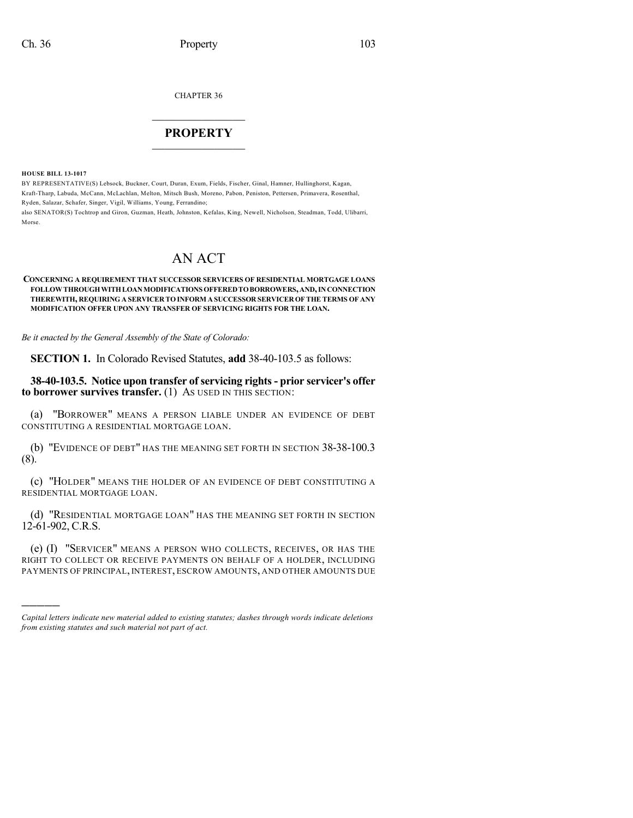CHAPTER 36

## $\overline{\phantom{a}}$  . The set of the set of the set of the set of the set of the set of the set of the set of the set of the set of the set of the set of the set of the set of the set of the set of the set of the set of the set o **PROPERTY**  $\_$   $\_$   $\_$   $\_$   $\_$   $\_$   $\_$   $\_$   $\_$

**HOUSE BILL 13-1017**

)))))

BY REPRESENTATIVE(S) Lebsock, Buckner, Court, Duran, Exum, Fields, Fischer, Ginal, Hamner, Hullinghorst, Kagan, Kraft-Tharp, Labuda, McCann, McLachlan, Melton, Mitsch Bush, Moreno, Pabon, Peniston, Pettersen, Primavera, Rosenthal, Ryden, Salazar, Schafer, Singer, Vigil, Williams, Young, Ferrandino; also SENATOR(S) Tochtrop and Giron, Guzman, Heath, Johnston, Kefalas, King, Newell, Nicholson, Steadman, Todd, Ulibarri, Morse.

## AN ACT

## **CONCERNING A REQUIREMENT THAT SUCCESSOR SERVICERS OF RESIDENTIAL MORTGAGE LOANS FOLLOWTHROUGHWITHLOANMODIFICATIONS OFFEREDTOBORROWERS,AND,INCONNECTION THEREWITH, REQUIRING A SERVICER TOINFORM A SUCCESSOR SERVICEROF THE TERMS OF ANY MODIFICATION OFFER UPON ANY TRANSFER OF SERVICING RIGHTS FOR THE LOAN.**

*Be it enacted by the General Assembly of the State of Colorado:*

**SECTION 1.** In Colorado Revised Statutes, **add** 38-40-103.5 as follows:

**38-40-103.5. Notice upon transfer of servicing rights- prior servicer's offer to borrower survives transfer.** (1) AS USED IN THIS SECTION:

(a) "BORROWER" MEANS A PERSON LIABLE UNDER AN EVIDENCE OF DEBT CONSTITUTING A RESIDENTIAL MORTGAGE LOAN.

(b) "EVIDENCE OF DEBT" HAS THE MEANING SET FORTH IN SECTION 38-38-100.3 (8).

(c) "HOLDER" MEANS THE HOLDER OF AN EVIDENCE OF DEBT CONSTITUTING A RESIDENTIAL MORTGAGE LOAN.

(d) "RESIDENTIAL MORTGAGE LOAN" HAS THE MEANING SET FORTH IN SECTION 12-61-902, C.R.S.

(e) (I) "SERVICER" MEANS A PERSON WHO COLLECTS, RECEIVES, OR HAS THE RIGHT TO COLLECT OR RECEIVE PAYMENTS ON BEHALF OF A HOLDER, INCLUDING PAYMENTS OF PRINCIPAL, INTEREST, ESCROW AMOUNTS, AND OTHER AMOUNTS DUE

*Capital letters indicate new material added to existing statutes; dashes through words indicate deletions from existing statutes and such material not part of act.*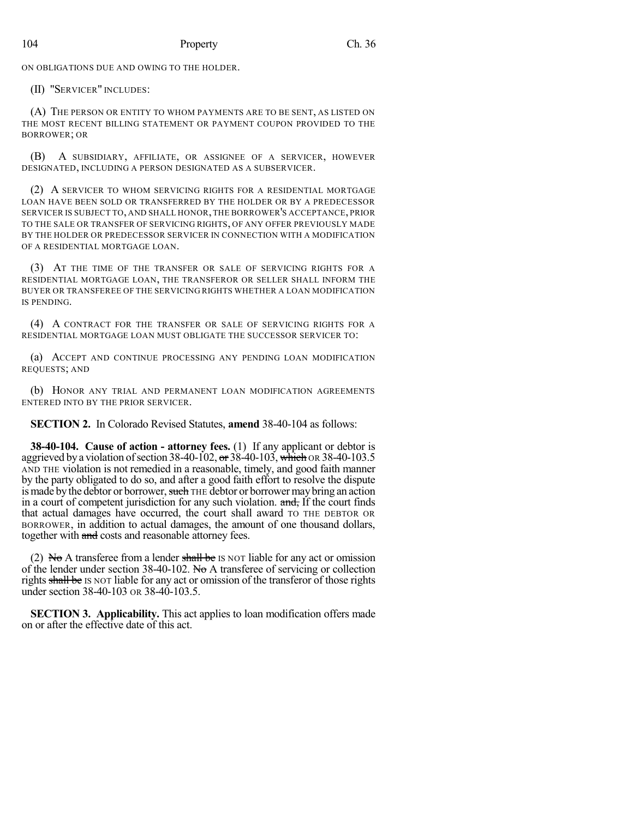ON OBLIGATIONS DUE AND OWING TO THE HOLDER.

(II) "SERVICER" INCLUDES:

(A) THE PERSON OR ENTITY TO WHOM PAYMENTS ARE TO BE SENT, AS LISTED ON THE MOST RECENT BILLING STATEMENT OR PAYMENT COUPON PROVIDED TO THE BORROWER; OR

(B) A SUBSIDIARY, AFFILIATE, OR ASSIGNEE OF A SERVICER, HOWEVER DESIGNATED, INCLUDING A PERSON DESIGNATED AS A SUBSERVICER.

(2) A SERVICER TO WHOM SERVICING RIGHTS FOR A RESIDENTIAL MORTGAGE LOAN HAVE BEEN SOLD OR TRANSFERRED BY THE HOLDER OR BY A PREDECESSOR SERVICER IS SUBJECT TO, AND SHALL HONOR, THE BORROWER'S ACCEPTANCE, PRIOR TO THE SALE OR TRANSFER OF SERVICING RIGHTS, OF ANY OFFER PREVIOUSLY MADE BY THE HOLDER OR PREDECESSOR SERVICER IN CONNECTION WITH A MODIFICATION OF A RESIDENTIAL MORTGAGE LOAN.

(3) AT THE TIME OF THE TRANSFER OR SALE OF SERVICING RIGHTS FOR A RESIDENTIAL MORTGAGE LOAN, THE TRANSFEROR OR SELLER SHALL INFORM THE BUYER OR TRANSFEREE OF THE SERVICING RIGHTS WHETHER A LOAN MODIFICATION IS PENDING.

(4) A CONTRACT FOR THE TRANSFER OR SALE OF SERVICING RIGHTS FOR A RESIDENTIAL MORTGAGE LOAN MUST OBLIGATE THE SUCCESSOR SERVICER TO:

(a) ACCEPT AND CONTINUE PROCESSING ANY PENDING LOAN MODIFICATION REQUESTS; AND

(b) HONOR ANY TRIAL AND PERMANENT LOAN MODIFICATION AGREEMENTS ENTERED INTO BY THE PRIOR SERVICER.

**SECTION 2.** In Colorado Revised Statutes, **amend** 38-40-104 as follows:

**38-40-104. Cause of action - attorney fees.** (1) If any applicant or debtor is aggrieved by a violation of section 38-40-102, or  $38-40-103$ , which OR 38-40-103.5 AND THE violation is not remedied in a reasonable, timely, and good faith manner by the party obligated to do so, and after a good faith effort to resolve the dispute is made by the debtor or borrower, such THE debtor or borrower may bring an action in a court of competent jurisdiction for any such violation. and, If the court finds that actual damages have occurred, the court shall award TO THE DEBTOR OR BORROWER, in addition to actual damages, the amount of one thousand dollars, together with and costs and reasonable attorney fees.

(2) No A transferee from a lender shall be IS NOT liable for any act or omission of the lender under section  $38-40-102$ . No A transferee of servicing or collection rights shall be IS NOT liable for any act or omission of the transferor of those rights under section 38-40-103 OR 38-40-103.5.

**SECTION 3. Applicability.** This act applies to loan modification offers made on or after the effective date of this act.